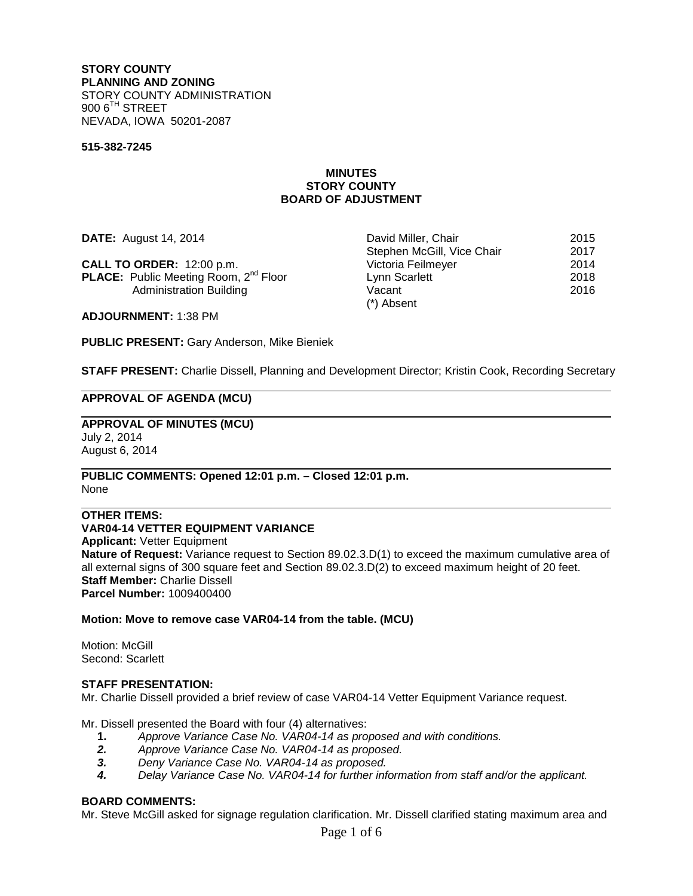## **STORY COUNTY PLANNING AND ZONING** STORY COUNTY ADMINISTRATION  $900$  6<sup>TH</sup> STREET NEVADA, IOWA 50201-2087

#### **515-382-7245**

## **MINUTES STORY COUNTY BOARD OF ADJUSTMENT**

**CALL TO ORDER: 12:00 p.m.** 

**DATE:** August 14, 2014 **David Miller, Chair** 2015<br>Stephen McGill, Vice Chair 2017 Stephen McGill, Vice Chair **2017**<br>Victoria Feilmeyer 2014 **PLACE:** Public Meeting Room, 2<sup>nd</sup> Floor Lynn Scarlett 2018<br>Administration Building Vacant Vacant 2016 Administration Building **Contract Contract Contract Contract Contract Contract Contract Contract Contract Contract Contract Contract Contract Contract Contract Contract Contract Contract Contract Contract Contract Contract** (\*) Absent

**ADJOURNMENT:** 1:38 PM

**PUBLIC PRESENT:** Gary Anderson, Mike Bieniek

**STAFF PRESENT:** Charlie Dissell, Planning and Development Director; Kristin Cook, Recording Secretary

## **APPROVAL OF AGENDA (MCU)**

#### **APPROVAL OF MINUTES (MCU)** July 2, 2014

August 6, 2014

**PUBLIC COMMENTS: Opened 12:01 p.m. – Closed 12:01 p.m.** None

## **OTHER ITEMS: VAR04-14 VETTER EQUIPMENT VARIANCE Applicant:** Vetter Equipment **Nature of Request:** Variance request to Section 89.02.3.D(1) to exceed the maximum cumulative area of all external signs of 300 square feet and Section 89.02.3.D(2) to exceed maximum height of 20 feet. **Staff Member:** Charlie Dissell **Parcel Number:** 1009400400

## **Motion: Move to remove case VAR04-14 from the table. (MCU)**

Motion: McGill Second: Scarlett

## **STAFF PRESENTATION:**

Mr. Charlie Dissell provided a brief review of case VAR04-14 Vetter Equipment Variance request.

Mr. Dissell presented the Board with four (4) alternatives:

- **1.** *Approve Variance Case No. VAR04-14 as proposed and with conditions.*
- *2. Approve Variance Case No. VAR04-14 as proposed.*
- *3. Deny Variance Case No. VAR04-14 as proposed.*
- *4. Delay Variance Case No. VAR04-14 for further information from staff and/or the applicant.*

## **BOARD COMMENTS:**

Mr. Steve McGill asked for signage regulation clarification. Mr. Dissell clarified stating maximum area and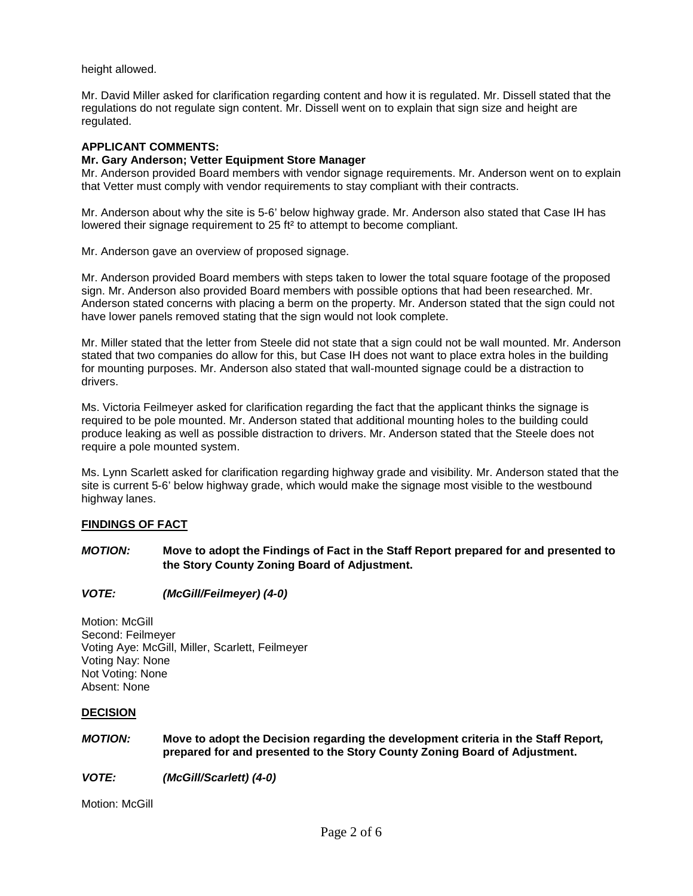height allowed.

Mr. David Miller asked for clarification regarding content and how it is regulated. Mr. Dissell stated that the regulations do not regulate sign content. Mr. Dissell went on to explain that sign size and height are regulated.

## **APPLICANT COMMENTS:**

## **Mr. Gary Anderson; Vetter Equipment Store Manager**

Mr. Anderson provided Board members with vendor signage requirements. Mr. Anderson went on to explain that Vetter must comply with vendor requirements to stay compliant with their contracts.

Mr. Anderson about why the site is 5-6' below highway grade. Mr. Anderson also stated that Case IH has lowered their signage requirement to 25 ft² to attempt to become compliant.

Mr. Anderson gave an overview of proposed signage.

Mr. Anderson provided Board members with steps taken to lower the total square footage of the proposed sign. Mr. Anderson also provided Board members with possible options that had been researched. Mr. Anderson stated concerns with placing a berm on the property. Mr. Anderson stated that the sign could not have lower panels removed stating that the sign would not look complete.

Mr. Miller stated that the letter from Steele did not state that a sign could not be wall mounted. Mr. Anderson stated that two companies do allow for this, but Case IH does not want to place extra holes in the building for mounting purposes. Mr. Anderson also stated that wall-mounted signage could be a distraction to drivers.

Ms. Victoria Feilmeyer asked for clarification regarding the fact that the applicant thinks the signage is required to be pole mounted. Mr. Anderson stated that additional mounting holes to the building could produce leaking as well as possible distraction to drivers. Mr. Anderson stated that the Steele does not require a pole mounted system.

Ms. Lynn Scarlett asked for clarification regarding highway grade and visibility. Mr. Anderson stated that the site is current 5-6' below highway grade, which would make the signage most visible to the westbound highway lanes.

## **FINDINGS OF FACT**

## *MOTION:* **Move to adopt the Findings of Fact in the Staff Report prepared for and presented to the Story County Zoning Board of Adjustment.**

## *VOTE: (McGill/Feilmeyer) (4-0)*

Motion: McGill Second: Feilmeyer Voting Aye: McGill, Miller, Scarlett, Feilmeyer Voting Nay: None Not Voting: None Absent: None

## **DECISION**

*MOTION:* **Move to adopt the Decision regarding the development criteria in the Staff Report***,* **prepared for and presented to the Story County Zoning Board of Adjustment.**

*VOTE: (McGill/Scarlett) (4-0)* 

Motion: McGill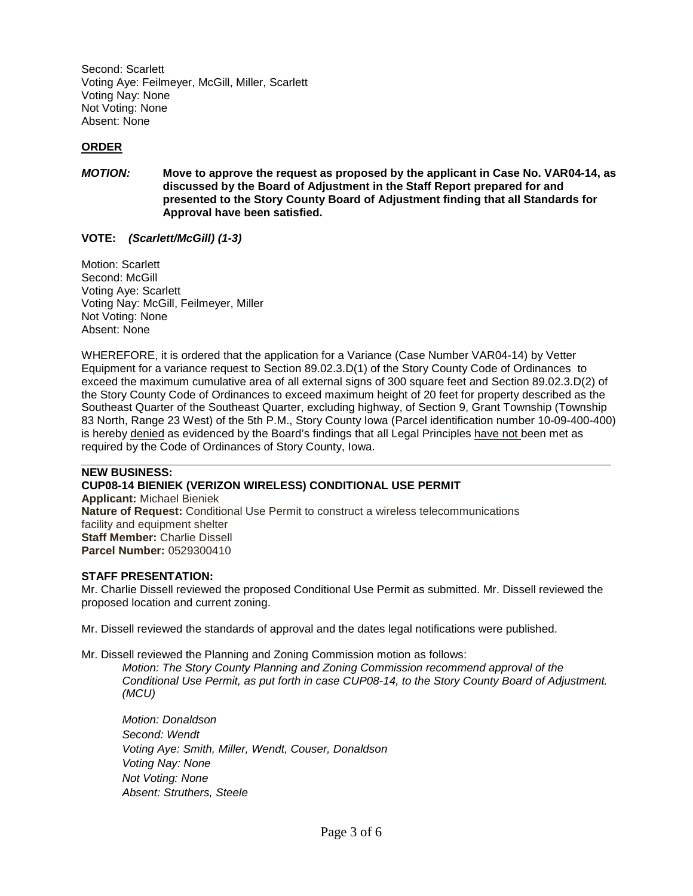Second: Scarlett Voting Aye: Feilmeyer, McGill, Miller, Scarlett Voting Nay: None Not Voting: None Absent: None

## **ORDER**

*MOTION:* **Move to approve the request as proposed by the applicant in Case No. VAR04-14, as discussed by the Board of Adjustment in the Staff Report prepared for and presented to the Story County Board of Adjustment finding that all Standards for Approval have been satisfied.**

## **VOTE:** *(Scarlett/McGill) (1-3)*

Motion: Scarlett Second: McGill Voting Aye: Scarlett Voting Nay: McGill, Feilmeyer, Miller Not Voting: None Absent: None

WHEREFORE, it is ordered that the application for a Variance (Case Number VAR04-14) by Vetter Equipment for a variance request to Section 89.02.3.D(1) of the Story County Code of Ordinances to exceed the maximum cumulative area of all external signs of 300 square feet and Section 89.02.3.D(2) of the Story County Code of Ordinances to exceed maximum height of 20 feet for property described as the Southeast Quarter of the Southeast Quarter, excluding highway, of Section 9, Grant Township (Township 83 North, Range 23 West) of the 5th P.M., Story County Iowa (Parcel identification number 10-09-400-400) is hereby denied as evidenced by the Board's findings that all Legal Principles have not been met as required by the Code of Ordinances of Story County, Iowa.

## **NEW BUSINESS:**

## **CUP08-14 BIENIEK (VERIZON WIRELESS) CONDITIONAL USE PERMIT**

**Applicant:** Michael Bieniek **Nature of Request:** Conditional Use Permit to construct a wireless telecommunications facility and equipment shelter **Staff Member:** Charlie Dissell **Parcel Number:** 0529300410

## **STAFF PRESENTATION:**

Mr. Charlie Dissell reviewed the proposed Conditional Use Permit as submitted. Mr. Dissell reviewed the proposed location and current zoning.

Mr. Dissell reviewed the standards of approval and the dates legal notifications were published.

Mr. Dissell reviewed the Planning and Zoning Commission motion as follows:

*Motion: The Story County Planning and Zoning Commission recommend approval of the Conditional Use Permit, as put forth in case CUP08-14, to the Story County Board of Adjustment. (MCU)*

*Motion: Donaldson Second: Wendt Voting Aye: Smith, Miller, Wendt, Couser, Donaldson Voting Nay: None Not Voting: None Absent: Struthers, Steele*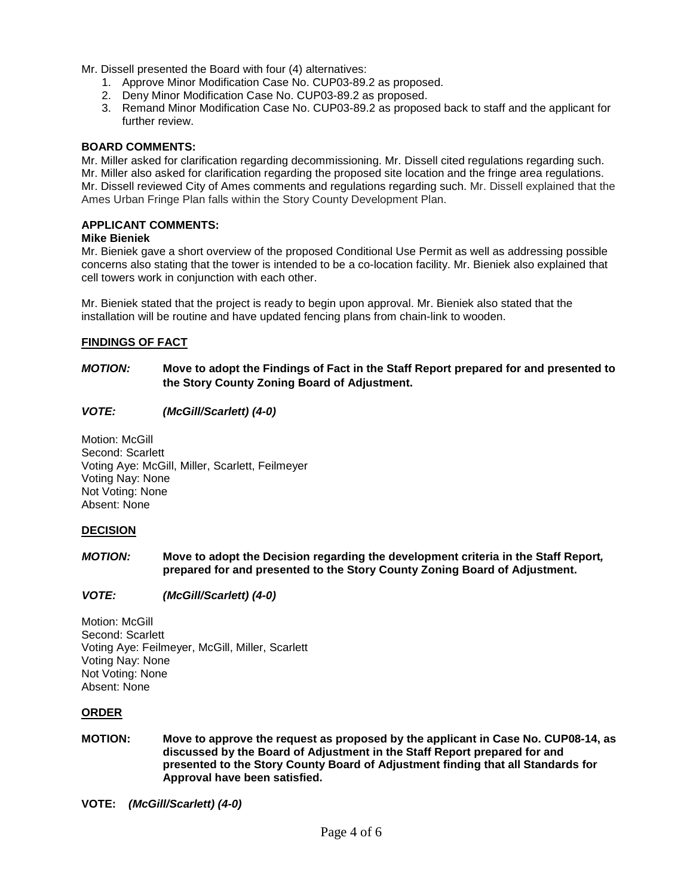Mr. Dissell presented the Board with four (4) alternatives:

- 1. Approve Minor Modification Case No. CUP03-89.2 as proposed.
- 2. Deny Minor Modification Case No. CUP03-89.2 as proposed.
- 3. Remand Minor Modification Case No. CUP03-89.2 as proposed back to staff and the applicant for further review.

## **BOARD COMMENTS:**

Mr. Miller asked for clarification regarding decommissioning. Mr. Dissell cited regulations regarding such. Mr. Miller also asked for clarification regarding the proposed site location and the fringe area regulations. Mr. Dissell reviewed City of Ames comments and regulations regarding such. Mr. Dissell explained that the Ames Urban Fringe Plan falls within the Story County Development Plan.

## **APPLICANT COMMENTS:**

#### **Mike Bieniek**

Mr. Bieniek gave a short overview of the proposed Conditional Use Permit as well as addressing possible concerns also stating that the tower is intended to be a co-location facility. Mr. Bieniek also explained that cell towers work in conjunction with each other.

Mr. Bieniek stated that the project is ready to begin upon approval. Mr. Bieniek also stated that the installation will be routine and have updated fencing plans from chain-link to wooden.

## **FINDINGS OF FACT**

## *MOTION:* **Move to adopt the Findings of Fact in the Staff Report prepared for and presented to the Story County Zoning Board of Adjustment.**

## *VOTE: (McGill/Scarlett) (4-0)*

Motion: McGill Second: Scarlett Voting Aye: McGill, Miller, Scarlett, Feilmeyer Voting Nay: None Not Voting: None Absent: None

#### **DECISION**

*MOTION:* **Move to adopt the Decision regarding the development criteria in the Staff Report***,* **prepared for and presented to the Story County Zoning Board of Adjustment.**

## *VOTE: (McGill/Scarlett) (4-0)*

Motion: McGill Second: Scarlett Voting Aye: Feilmeyer, McGill, Miller, Scarlett Voting Nay: None Not Voting: None Absent: None

## **ORDER**

**MOTION:****Move to approve the request as proposed by the applicant in Case No. CUP08-14, as discussed by the Board of Adjustment in the Staff Report prepared for and presented to the Story County Board of Adjustment finding that all Standards for Approval have been satisfied.**

**VOTE:** *(McGill/Scarlett) (4-0)*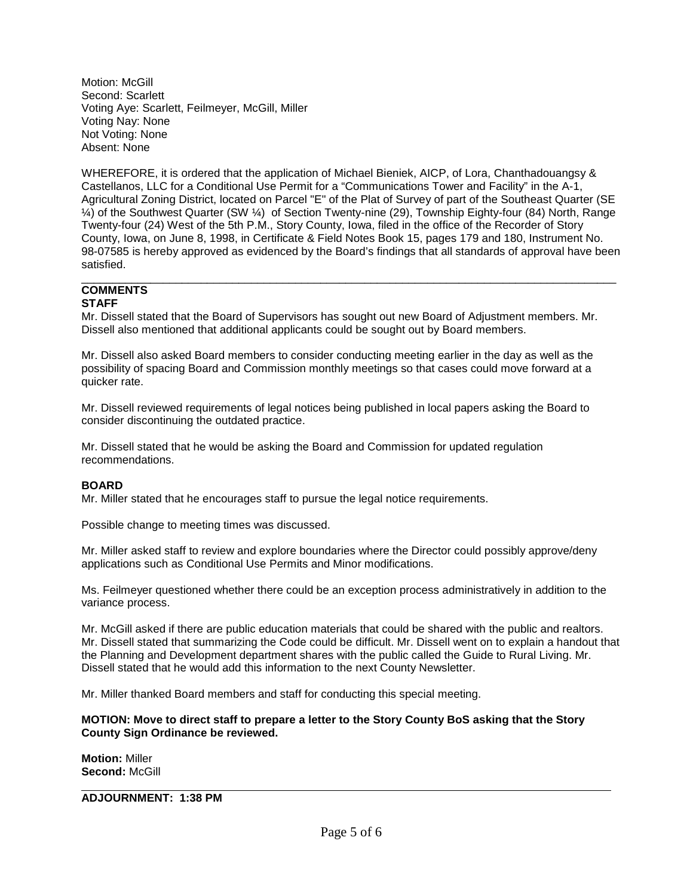Motion: McGill Second: Scarlett Voting Aye: Scarlett, Feilmeyer, McGill, Miller Voting Nay: None Not Voting: None Absent: None

WHEREFORE, it is ordered that the application of Michael Bieniek, AICP, of Lora, Chanthadouangsy & Castellanos, LLC for a Conditional Use Permit for a "Communications Tower and Facility" in the A-1, Agricultural Zoning District, located on Parcel "E" of the Plat of Survey of part of the Southeast Quarter (SE ¼) of the Southwest Quarter (SW ¼) of Section Twenty-nine (29), Township Eighty-four (84) North, Range Twenty-four (24) West of the 5th P.M., Story County, Iowa, filed in the office of the Recorder of Story County, Iowa, on June 8, 1998, in Certificate & Field Notes Book 15, pages 179 and 180, Instrument No. 98-07585 is hereby approved as evidenced by the Board's findings that all standards of approval have been satisfied.

#### \_\_\_\_\_\_\_\_\_\_\_\_\_\_\_\_\_\_\_\_\_\_\_\_\_\_\_\_\_\_\_\_\_\_\_\_\_\_\_\_\_\_\_\_\_\_\_\_\_\_\_\_\_\_\_\_\_\_\_\_\_\_\_\_\_\_\_\_\_\_\_\_\_\_\_\_\_\_\_\_\_\_\_\_\_ **COMMENTS STAFF**

Mr. Dissell stated that the Board of Supervisors has sought out new Board of Adjustment members. Mr. Dissell also mentioned that additional applicants could be sought out by Board members.

Mr. Dissell also asked Board members to consider conducting meeting earlier in the day as well as the possibility of spacing Board and Commission monthly meetings so that cases could move forward at a quicker rate.

Mr. Dissell reviewed requirements of legal notices being published in local papers asking the Board to consider discontinuing the outdated practice.

Mr. Dissell stated that he would be asking the Board and Commission for updated regulation recommendations.

# **BOARD**

Mr. Miller stated that he encourages staff to pursue the legal notice requirements.

Possible change to meeting times was discussed.

Mr. Miller asked staff to review and explore boundaries where the Director could possibly approve/deny applications such as Conditional Use Permits and Minor modifications.

Ms. Feilmeyer questioned whether there could be an exception process administratively in addition to the variance process.

Mr. McGill asked if there are public education materials that could be shared with the public and realtors. Mr. Dissell stated that summarizing the Code could be difficult. Mr. Dissell went on to explain a handout that the Planning and Development department shares with the public called the Guide to Rural Living. Mr. Dissell stated that he would add this information to the next County Newsletter.

Mr. Miller thanked Board members and staff for conducting this special meeting.

**MOTION: Move to direct staff to prepare a letter to the Story County BoS asking that the Story County Sign Ordinance be reviewed.**

**Motion:** Miller **Second:** McGill

**ADJOURNMENT: 1:38 PM**